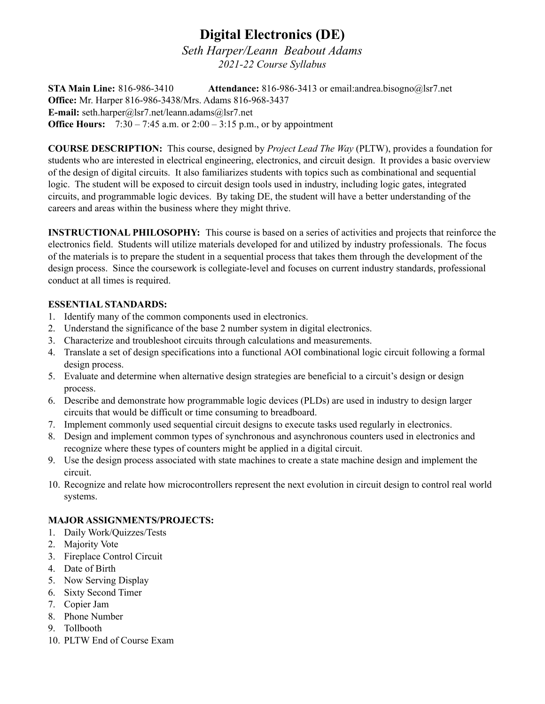## **Digital Electronics (DE)**

*Seth Harper/Leann Beabout Adams 2021-22 Course Syllabus*

**STA Main Line:** 816-986-3410 **Attendance:** 816-986-3413 or email:andrea.bisogno@lsr7.net **Office:** Mr. Harper 816-986-3438/Mrs. Adams 816-968-3437 **E-mail:** seth.harper@lsr7.net/leann.adams@lsr7.net **Office Hours:** 7:30 – 7:45 a.m. or 2:00 – 3:15 p.m., or by appointment

**COURSE DESCRIPTION:** This course, designed by *Project Lead The Way* (PLTW), provides a foundation for students who are interested in electrical engineering, electronics, and circuit design. It provides a basic overview of the design of digital circuits. It also familiarizes students with topics such as combinational and sequential logic. The student will be exposed to circuit design tools used in industry, including logic gates, integrated circuits, and programmable logic devices. By taking DE, the student will have a better understanding of the careers and areas within the business where they might thrive.

**INSTRUCTIONAL PHILOSOPHY:** This course is based on a series of activities and projects that reinforce the electronics field. Students will utilize materials developed for and utilized by industry professionals. The focus of the materials is to prepare the student in a sequential process that takes them through the development of the design process. Since the coursework is collegiate-level and focuses on current industry standards, professional conduct at all times is required.

## **ESSENTIAL STANDARDS:**

- 1. Identify many of the common components used in electronics.
- 2. Understand the significance of the base 2 number system in digital electronics.
- 3. Characterize and troubleshoot circuits through calculations and measurements.
- 4. Translate a set of design specifications into a functional AOI combinational logic circuit following a formal design process.
- 5. Evaluate and determine when alternative design strategies are beneficial to a circuit's design or design process.
- 6. Describe and demonstrate how programmable logic devices (PLDs) are used in industry to design larger circuits that would be difficult or time consuming to breadboard.
- 7. Implement commonly used sequential circuit designs to execute tasks used regularly in electronics.
- 8. Design and implement common types of synchronous and asynchronous counters used in electronics and recognize where these types of counters might be applied in a digital circuit.
- 9. Use the design process associated with state machines to create a state machine design and implement the circuit.
- 10. Recognize and relate how microcontrollers represent the next evolution in circuit design to control real world systems.

## **MAJOR ASSIGNMENTS/PROJECTS:**

- 1. Daily Work/Quizzes/Tests
- 2. Majority Vote
- 3. Fireplace Control Circuit
- 4. Date of Birth
- 5. Now Serving Display
- 6. Sixty Second Timer
- 7. Copier Jam
- 8. Phone Number
- 9. Tollbooth
- 10. PLTW End of Course Exam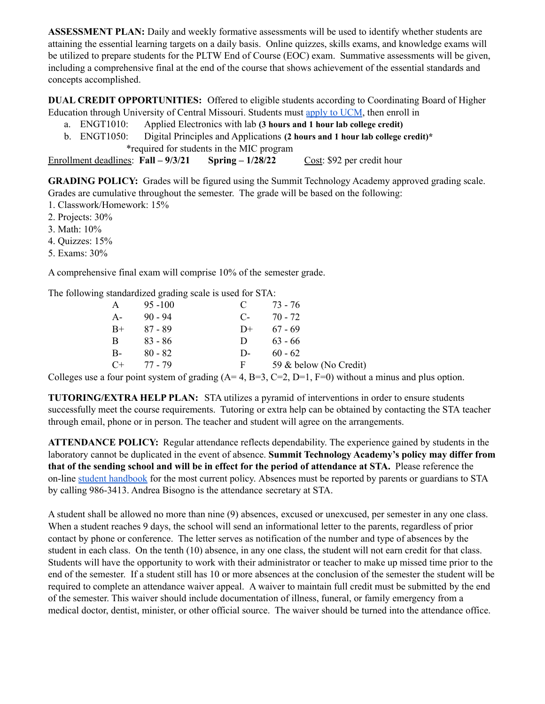**ASSESSMENT PLAN:** Daily and weekly formative assessments will be used to identify whether students are attaining the essential learning targets on a daily basis. Online quizzes, skills exams, and knowledge exams will be utilized to prepare students for the PLTW End of Course (EOC) exam. Summative assessments will be given, including a comprehensive final at the end of the course that shows achievement of the essential standards and concepts accomplished.

**DUAL CREDIT OPPORTUNITIES:** Offered to eligible students according to Coordinating Board of Higher Education through University of Central Missouri. Students must apply to [UCM](https://drive.google.com/file/d/1BROIlf5FtwBw3CFznwj5C9bQpgF3SUV5/view), then enroll in

- a. ENGT1010: Applied Electronics with lab **(3 hours and 1 hour lab college credit)**
- b. ENGT1050: Digital Principles and Applications **(2 hours and 1 hour lab college credit)\*** \*required for students in the MIC program

Enrollment deadlines: **Fall – 9/3/21 Spring – 1/28/22** Cost: \$92 per credit hour

**GRADING POLICY:** Grades will be figured using the Summit Technology Academy approved grading scale. Grades are cumulative throughout the semester. The grade will be based on the following:

1. Classwork/Homework: 15%

2. Projects: 30%

3. Math: 10%

4. Quizzes: 15%

5. Exams: 30%

A comprehensive final exam will comprise 10% of the semester grade.

The following standardized grading scale is used for STA:

| A     | $95 - 100$ | $\mathbf{C}$ | 73 - 76                |
|-------|------------|--------------|------------------------|
| $A-$  | $90 - 94$  | $C_{\tau}$   | 70 - 72                |
| $B+$  | 87 - 89    | $D+$         | $67 - 69$              |
| B     | 83 - 86    | D.           | $63 - 66$              |
| $B -$ | $80 - 82$  | $D-$         | $60 - 62$              |
| $C+$  | 77 - 79    | F.           | 59 & below (No Credit) |

Colleges use a four point system of grading  $(A=4, B=3, C=2, D=1, F=0)$  without a minus and plus option.

**TUTORING/EXTRA HELP PLAN:** STA utilizes a pyramid of interventions in order to ensure students successfully meet the course requirements. Tutoring or extra help can be obtained by contacting the STA teacher through email, phone or in person. The teacher and student will agree on the arrangements.

**ATTENDANCE POLICY:** Regular attendance reflects dependability. The experience gained by students in the laboratory cannot be duplicated in the event of absence. **Summit Technology Academy's policy may differ from** that of the sending school and will be in effect for the period of attendance at STA. Please reference the on-line student [handbook](https://sta.lsr7.org/student-handbook/) for the most current policy. Absences must be reported by parents or guardians to STA by calling 986-3413. Andrea Bisogno is the attendance secretary at STA.

A student shall be allowed no more than nine (9) absences, excused or unexcused, per semester in any one class. When a student reaches 9 days, the school will send an informational letter to the parents, regardless of prior contact by phone or conference. The letter serves as notification of the number and type of absences by the student in each class. On the tenth (10) absence, in any one class, the student will not earn credit for that class. Students will have the opportunity to work with their administrator or teacher to make up missed time prior to the end of the semester. If a student still has 10 or more absences at the conclusion of the semester the student will be required to complete an attendance waiver appeal. A waiver to maintain full credit must be submitted by the end of the semester. This waiver should include documentation of illness, funeral, or family emergency from a medical doctor, dentist, minister, or other official source. The waiver should be turned into the attendance office.